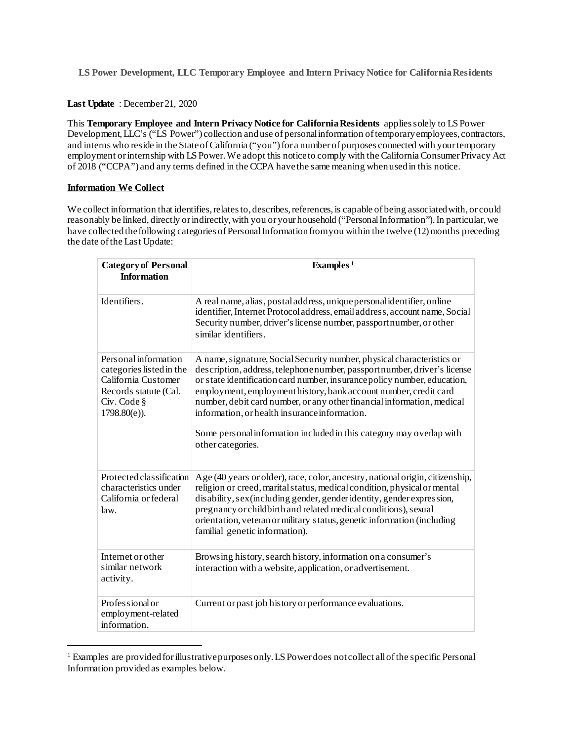**LS Power Development, LLC Temporary Employee and Intern Privacy Notice for California Residents**

## **Last Update** : December 21, 2020

This **Temporary Employee and Intern Privacy Notice for California Residents** applies solely to LS Power Development, LLC's ("LS Power") collection and use of personal information of temporary employees, contractors, and interns who reside in the State of California ("you") for a number of purposes connected with your temporary employment or internship with LS Power.We adopt this notice to comply with the California Consumer Privacy Act of 2018 ("CCPA") and any terms defined in the CCPA have the same meaning when used in this notice.

# **Information We Collect**

We collect information that identifies, relates to, describes, references, is capable of being associated with, or could reasonably be linked, directly or indirectly, with you or your household ("Personal Information"). In particular, we have collected the following categories of Personal Information from you within the twelve (12) months preceding the date of the Last Update:

| <b>Category of Personal</b><br><b>Information</b>                                                                                  | Examples <sup>1</sup>                                                                                                                                                                                                                                                                                                                                                                                                                                                                                                      |
|------------------------------------------------------------------------------------------------------------------------------------|----------------------------------------------------------------------------------------------------------------------------------------------------------------------------------------------------------------------------------------------------------------------------------------------------------------------------------------------------------------------------------------------------------------------------------------------------------------------------------------------------------------------------|
| Identifiers.                                                                                                                       | A real name, alias, postal address, unique personal identifier, online<br>identifier, Internet Protocol address, email address, account name, Social<br>Security number, driver's license number, passport number, or other<br>similar identifiers.                                                                                                                                                                                                                                                                        |
| Personal information<br>categories listed in the<br>California Customer<br>Records statute (Cal.<br>Civ. Code §<br>$1798.80(e)$ ). | A name, signature, Social Security number, physical characteristics or<br>description, address, telephone number, passport number, driver's license<br>or state identification card number, insurance policy number, education,<br>employment, employmenthistory, bank account number, credit card<br>number, debit card number, or any other financial information, medical<br>information, or health insurance information.<br>Some personal information included in this category may overlap with<br>other categories. |
| Protected classification<br>characteristics under<br>California or federal<br>law.                                                 | Age (40 years or older), race, color, ancestry, national origin, citizenship,<br>religion or creed, marital status, medical condition, physical or mental<br>disability, sex (including gender, gender identity, gender expression,<br>pregnancy or childbirth and related medical conditions), sexual<br>orientation, veteran or military status, genetic information (including<br>familial genetic information).                                                                                                        |
| Internet or other<br>similar network<br>activity.                                                                                  | Browsing history, search history, information on a consumer's<br>interaction with a website, application, or advertisement.                                                                                                                                                                                                                                                                                                                                                                                                |
| Professional or<br>employment-related<br>information.                                                                              | Current or past job history or performance evaluations.                                                                                                                                                                                                                                                                                                                                                                                                                                                                    |

<span id="page-0-0"></span> <sup>1</sup> Examples are provided for illustrative purposes only. LS Power does not collect all of the specific Personal Information provided as examples below.